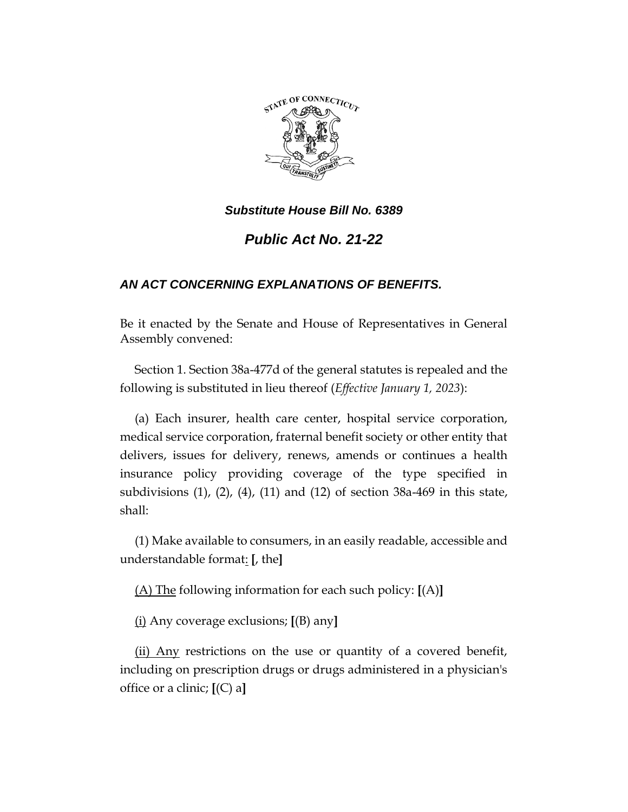

# *Public Act No. 21-22*

## *AN ACT CONCERNING EXPLANATIONS OF BENEFITS.*

Be it enacted by the Senate and House of Representatives in General Assembly convened:

Section 1. Section 38a-477d of the general statutes is repealed and the following is substituted in lieu thereof (*Effective January 1, 2023*):

(a) Each insurer, health care center, hospital service corporation, medical service corporation, fraternal benefit society or other entity that delivers, issues for delivery, renews, amends or continues a health insurance policy providing coverage of the type specified in subdivisions (1), (2), (4), (11) and (12) of section 38a-469 in this state, shall:

(1) Make available to consumers, in an easily readable, accessible and understandable format: **[**, the**]**

(A) The following information for each such policy: **[**(A)**]**

(i) Any coverage exclusions; **[**(B) any**]**

(ii) Any restrictions on the use or quantity of a covered benefit, including on prescription drugs or drugs administered in a physician's office or a clinic; **[**(C) a**]**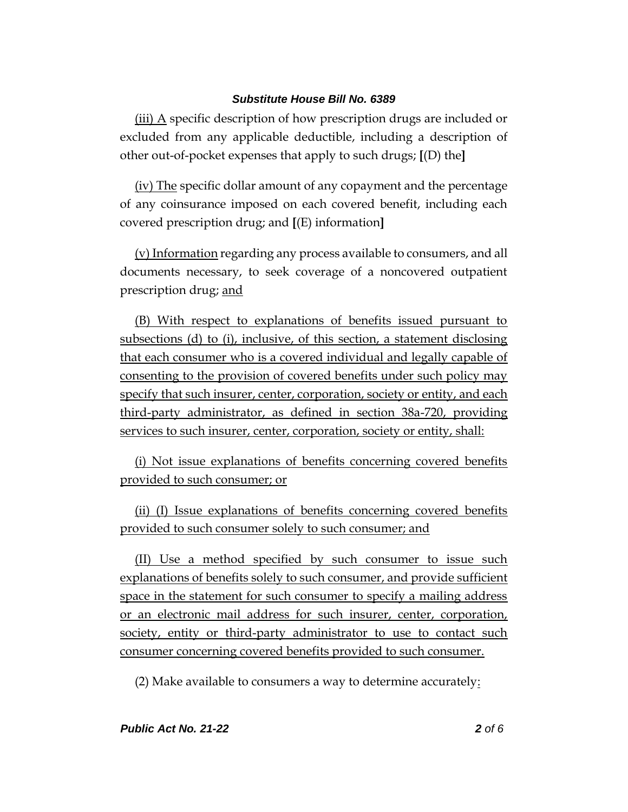(iii) A specific description of how prescription drugs are included or excluded from any applicable deductible, including a description of other out-of-pocket expenses that apply to such drugs; **[**(D) the**]**

(iv) The specific dollar amount of any copayment and the percentage of any coinsurance imposed on each covered benefit, including each covered prescription drug; and **[**(E) information**]**

(v) Information regarding any process available to consumers, and all documents necessary, to seek coverage of a noncovered outpatient prescription drug; and

(B) With respect to explanations of benefits issued pursuant to subsections (d) to (i), inclusive, of this section, a statement disclosing that each consumer who is a covered individual and legally capable of consenting to the provision of covered benefits under such policy may specify that such insurer, center, corporation, society or entity, and each third-party administrator, as defined in section 38a-720, providing services to such insurer, center, corporation, society or entity, shall:

(i) Not issue explanations of benefits concerning covered benefits provided to such consumer; or

(ii) (I) Issue explanations of benefits concerning covered benefits provided to such consumer solely to such consumer; and

(II) Use a method specified by such consumer to issue such explanations of benefits solely to such consumer, and provide sufficient space in the statement for such consumer to specify a mailing address or an electronic mail address for such insurer, center, corporation, society, entity or third-party administrator to use to contact such consumer concerning covered benefits provided to such consumer.

(2) Make available to consumers a way to determine accurately: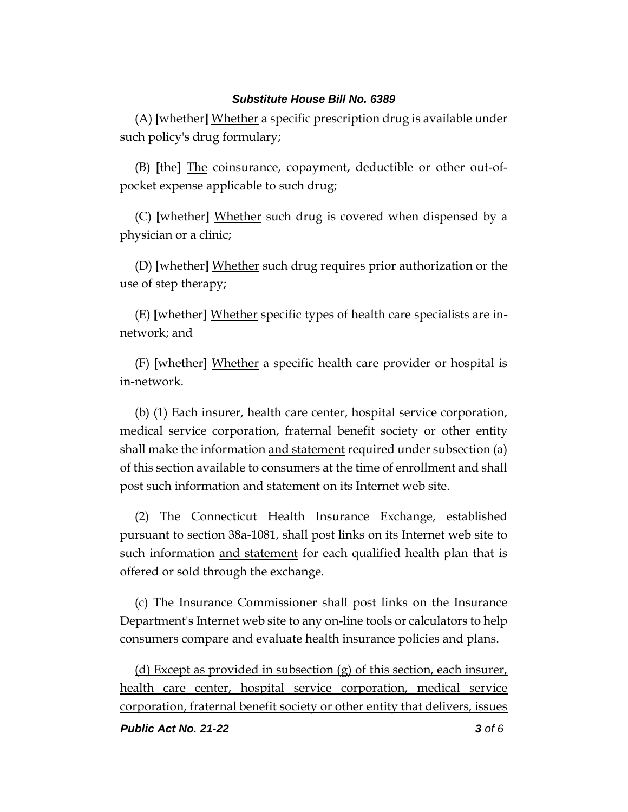(A) **[**whether**]** Whether a specific prescription drug is available under such policy's drug formulary;

(B) **[**the**]** The coinsurance, copayment, deductible or other out-ofpocket expense applicable to such drug;

(C) **[**whether**]** Whether such drug is covered when dispensed by a physician or a clinic;

(D) **[**whether**]** Whether such drug requires prior authorization or the use of step therapy;

(E) **[**whether**]** Whether specific types of health care specialists are innetwork; and

(F) **[**whether**]** Whether a specific health care provider or hospital is in-network.

(b) (1) Each insurer, health care center, hospital service corporation, medical service corporation, fraternal benefit society or other entity shall make the information and statement required under subsection (a) of this section available to consumers at the time of enrollment and shall post such information and statement on its Internet web site.

(2) The Connecticut Health Insurance Exchange, established pursuant to section 38a-1081, shall post links on its Internet web site to such information and statement for each qualified health plan that is offered or sold through the exchange.

(c) The Insurance Commissioner shall post links on the Insurance Department's Internet web site to any on-line tools or calculators to help consumers compare and evaluate health insurance policies and plans.

(d) Except as provided in subsection (g) of this section, each insurer, health care center, hospital service corporation, medical service corporation, fraternal benefit society or other entity that delivers, issues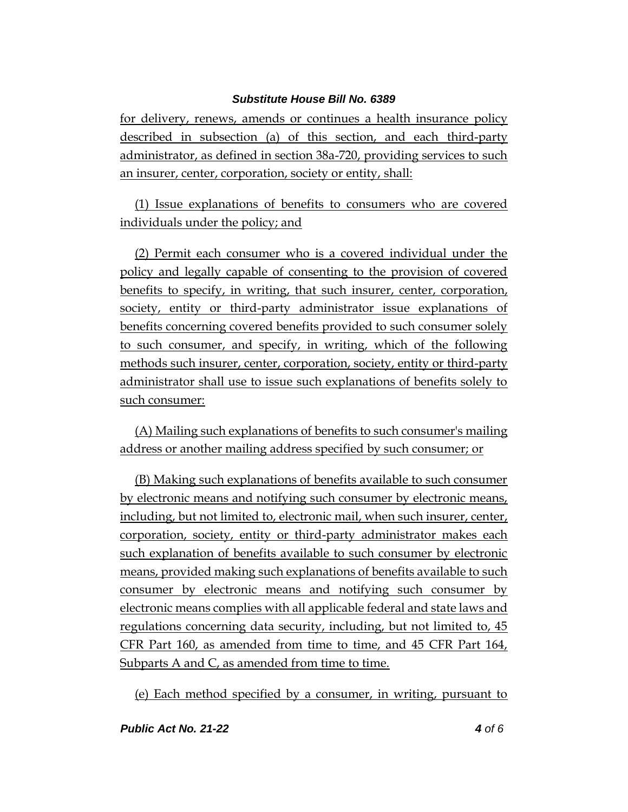for delivery, renews, amends or continues a health insurance policy described in subsection (a) of this section, and each third-party administrator, as defined in section 38a-720, providing services to such an insurer, center, corporation, society or entity, shall:

(1) Issue explanations of benefits to consumers who are covered individuals under the policy; and

(2) Permit each consumer who is a covered individual under the policy and legally capable of consenting to the provision of covered benefits to specify, in writing, that such insurer, center, corporation, society, entity or third-party administrator issue explanations of benefits concerning covered benefits provided to such consumer solely to such consumer, and specify, in writing, which of the following methods such insurer, center, corporation, society, entity or third-party administrator shall use to issue such explanations of benefits solely to such consumer:

(A) Mailing such explanations of benefits to such consumer's mailing address or another mailing address specified by such consumer; or

(B) Making such explanations of benefits available to such consumer by electronic means and notifying such consumer by electronic means, including, but not limited to, electronic mail, when such insurer, center, corporation, society, entity or third-party administrator makes each such explanation of benefits available to such consumer by electronic means, provided making such explanations of benefits available to such consumer by electronic means and notifying such consumer by electronic means complies with all applicable federal and state laws and regulations concerning data security, including, but not limited to, 45 CFR Part 160, as amended from time to time, and 45 CFR Part 164, Subparts A and C, as amended from time to time.

(e) Each method specified by a consumer, in writing, pursuant to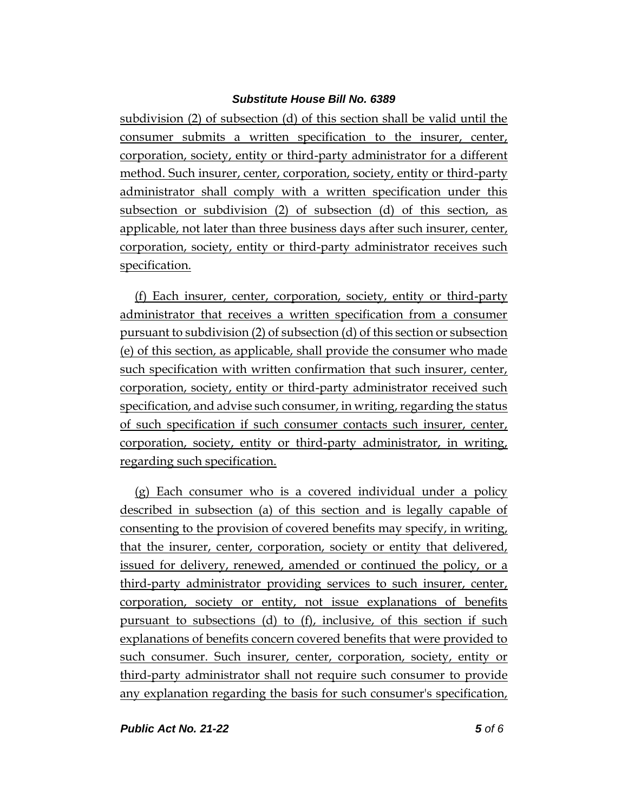subdivision (2) of subsection (d) of this section shall be valid until the consumer submits a written specification to the insurer, center, corporation, society, entity or third-party administrator for a different method. Such insurer, center, corporation, society, entity or third-party administrator shall comply with a written specification under this subsection or subdivision (2) of subsection (d) of this section, as applicable, not later than three business days after such insurer, center, corporation, society, entity or third-party administrator receives such specification.

(f) Each insurer, center, corporation, society, entity or third-party administrator that receives a written specification from a consumer pursuant to subdivision (2) of subsection (d) of this section or subsection (e) of this section, as applicable, shall provide the consumer who made such specification with written confirmation that such insurer, center, corporation, society, entity or third-party administrator received such specification, and advise such consumer, in writing, regarding the status of such specification if such consumer contacts such insurer, center, corporation, society, entity or third-party administrator, in writing, regarding such specification.

(g) Each consumer who is a covered individual under a policy described in subsection (a) of this section and is legally capable of consenting to the provision of covered benefits may specify, in writing, that the insurer, center, corporation, society or entity that delivered, issued for delivery, renewed, amended or continued the policy, or a third-party administrator providing services to such insurer, center, corporation, society or entity, not issue explanations of benefits pursuant to subsections (d) to (f), inclusive, of this section if such explanations of benefits concern covered benefits that were provided to such consumer. Such insurer, center, corporation, society, entity or third-party administrator shall not require such consumer to provide any explanation regarding the basis for such consumer's specification,